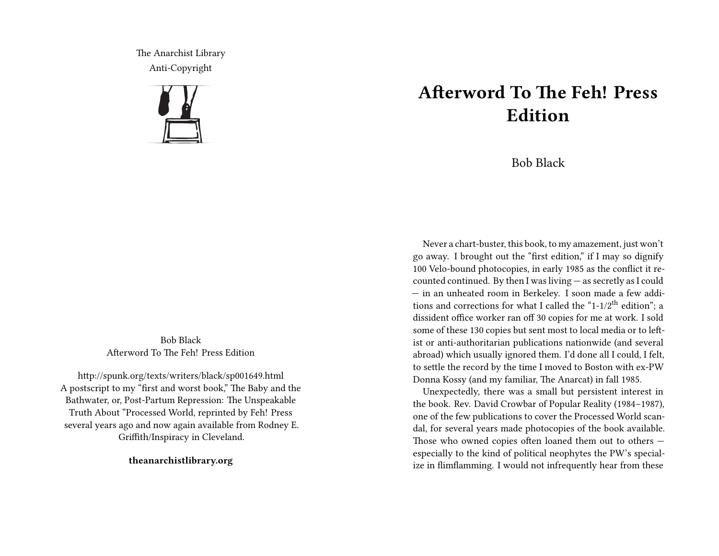The Anarchist Library Anti-Copyright



Bob Black Afterword To The Feh! Press Edition

http://spunk.org/texts/writers/black/sp001649.html A postscript to my "first and worst book," The Baby and the Bathwater, or, Post-Partum Repression: The Unspeakable Truth About "Processed World, reprinted by Feh! Press several years ago and now again available from Rodney E. Griffith/Inspiracy in Cleveland.

**theanarchistlibrary.org**

## **Afterword To The Feh! Press Edition**

Bob Black

Never a chart-buster, this book, to my amazement, just won't go away. I brought out the "first edition," if I may so dignify 100 Velo-bound photocopies, in early 1985 as the conflict it recounted continued. By then I was living — as secretly as I could — in an unheated room in Berkeley. I soon made a few additions and corrections for what I called the "1-1/2<sup>th</sup> edition"; a dissident office worker ran off 30 copies for me at work. I sold some of these 130 copies but sent most to local media or to leftist or anti-authoritarian publications nationwide (and several abroad) which usually ignored them. I'd done all I could, I felt, to settle the record by the time I moved to Boston with ex-PW Donna Kossy (and my familiar, The Anarcat) in fall 1985.

Unexpectedly, there was a small but persistent interest in the book. Rev. David Crowbar of Popular Reality (1984–1987), one of the few publications to cover the Processed World scandal, for several years made photocopies of the book available. Those who owned copies often loaned them out to others especially to the kind of political neophytes the PW's specialize in flimflamming. I would not infrequently hear from these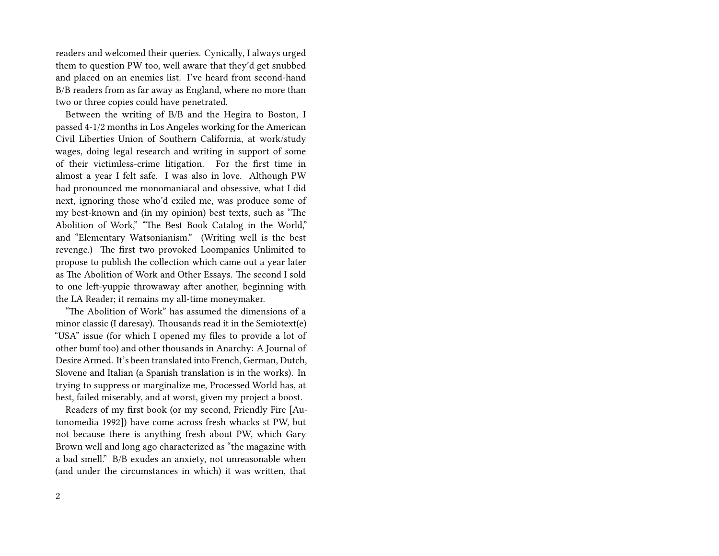readers and welcomed their queries. Cynically, I always urged them to question PW too, well aware that they'd get snubbed and placed on an enemies list. I've heard from second-hand B/B readers from as far away as England, where no more than two or three copies could have penetrated.

Between the writing of B/B and the Hegira to Boston, I passed 4-1/2 months in Los Angeles working for the American Civil Liberties Union of Southern California, at work/study wages, doing legal research and writing in support of some of their victimless-crime litigation. For the first time in almost a year I felt safe. I was also in love. Although PW had pronounced me monomaniacal and obsessive, what I did next, ignoring those who'd exiled me, was produce some of my best-known and (in my opinion) best texts, such as "The Abolition of Work," "The Best Book Catalog in the World," and "Elementary Watsonianism." (Writing well is the best revenge.) The first two provoked Loompanics Unlimited to propose to publish the collection which came out a year later as The Abolition of Work and Other Essays. The second I sold to one left-yuppie throwaway after another, beginning with the LA Reader; it remains my all-time moneymaker.

"The Abolition of Work" has assumed the dimensions of a minor classic (I daresay). Thousands read it in the Semiotext(e) "USA" issue (for which I opened my files to provide a lot of other bumf too) and other thousands in Anarchy: A Journal of Desire Armed. It's been translated into French, German, Dutch, Slovene and Italian (a Spanish translation is in the works). In trying to suppress or marginalize me, Processed World has, at best, failed miserably, and at worst, given my project a boost.

Readers of my first book (or my second, Friendly Fire [Autonomedia 1992]) have come across fresh whacks st PW, but not because there is anything fresh about PW, which Gary Brown well and long ago characterized as "the magazine with a bad smell." B/B exudes an anxiety, not unreasonable when (and under the circumstances in which) it was written, that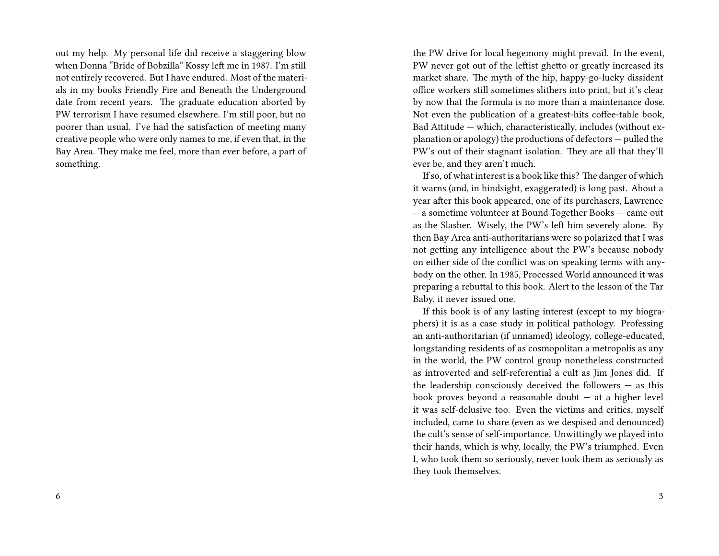out my help. My personal life did receive a staggering blow when Donna "Bride of Bobzilla" Kossy left me in 1987. I'm still not entirely recovered. But I have endured. Most of the materials in my books Friendly Fire and Beneath the Underground date from recent years. The graduate education aborted by PW terrorism I have resumed elsewhere. I'm still poor, but no poorer than usual. I've had the satisfaction of meeting many creative people who were only names to me, if even that, in the Bay Area. They make me feel, more than ever before, a part of something.

the PW drive for local hegemony might prevail. In the event, PW never got out of the leftist ghetto or greatly increased its market share. The myth of the hip, happy-go-lucky dissident office workers still sometimes slithers into print, but it's clear by now that the formula is no more than a maintenance dose. Not even the publication of a greatest-hits coffee-table book, Bad Attitude — which, characteristically, includes (without explanation or apology) the productions of defectors — pulled the PW's out of their stagnant isolation. They are all that they'll ever be, and they aren't much.

If so, of what interest is a book like this? The danger of which it warns (and, in hindsight, exaggerated) is long past. About a year after this book appeared, one of its purchasers, Lawrence — a sometime volunteer at Bound Together Books — came out as the Slasher. Wisely, the PW's left him severely alone. By then Bay Area anti-authoritarians were so polarized that I was not getting any intelligence about the PW's because nobody on either side of the conflict was on speaking terms with anybody on the other. In 1985, Processed World announced it was preparing a rebuttal to this book. Alert to the lesson of the Tar Baby, it never issued one.

If this book is of any lasting interest (except to my biographers) it is as a case study in political pathology. Professing an anti-authoritarian (if unnamed) ideology, college-educated, longstanding residents of as cosmopolitan a metropolis as any in the world, the PW control group nonetheless constructed as introverted and self-referential a cult as Jim Jones did. If the leadership consciously deceived the followers — as this book proves beyond a reasonable doubt — at a higher level it was self-delusive too. Even the victims and critics, myself included, came to share (even as we despised and denounced) the cult's sense of self-importance. Unwittingly we played into their hands, which is why, locally, the PW's triumphed. Even I, who took them so seriously, never took them as seriously as they took themselves.